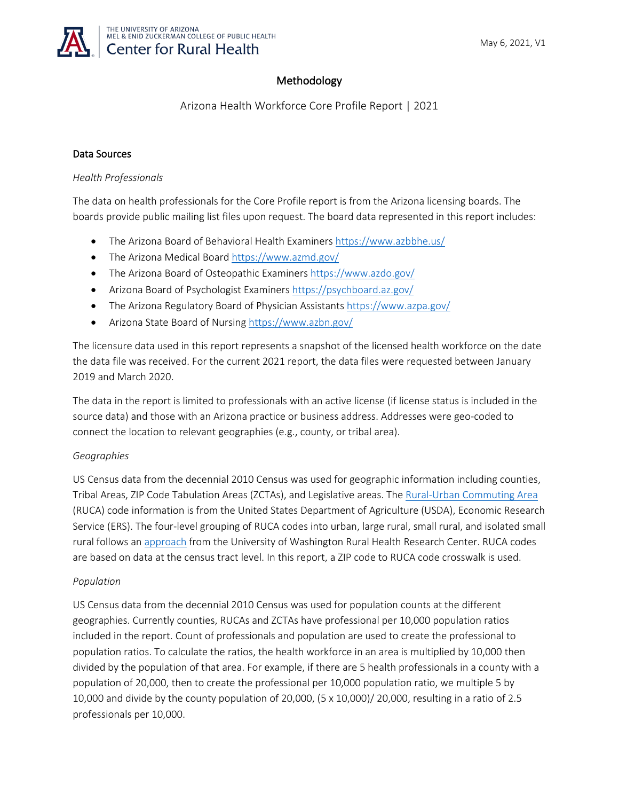

# Methodology

Arizona Health Workforce Core Profile Report | 2021

## Data Sources

#### *Health Professionals*

The data on health professionals for the Core Profile report is from the Arizona licensing boards. The boards provide public mailing list files upon request. The board data represented in this report includes:

- The Arizona Board of Behavioral Health Examiners <https://www.azbbhe.us/>
- The Arizona Medical Board <https://www.azmd.gov/>
- The Arizona Board of Osteopathic Examiners <https://www.azdo.gov/>
- Arizona Board of Psychologist Examiners<https://psychboard.az.gov/>
- The Arizona Regulatory Board of Physician Assistants<https://www.azpa.gov/>
- Arizona State Board of Nursing <https://www.azbn.gov/>

The licensure data used in this report represents a snapshot of the licensed health workforce on the date the data file was received. For the current 2021 report, the data files were requested between January 2019 and March 2020.

The data in the report is limited to professionals with an active license (if license status is included in the source data) and those with an Arizona practice or business address. Addresses were geo-coded to connect the location to relevant geographies (e.g., county, or tribal area).

# *Geographies*

US Census data from the decennial 2010 Census was used for geographic information including counties, Tribal Areas, ZIP Code Tabulation Areas (ZCTAs), and Legislative areas. The [Rural-Urban Commuting Area](https://www.ers.usda.gov/data-products/rural-urban-commuting-area-codes/) (RUCA) code information is from the United States Department of Agriculture (USDA), Economic Research Service (ERS). The four-level grouping of RUCA codes into urban, large rural, small rural, and isolated small rural follows an [approach](https://depts.washington.edu/uwruca/) from the University of Washington Rural Health Research Center. RUCA codes are based on data at the census tract level. In this report, a ZIP code to RUCA code crosswalk is used.

#### *Population*

US Census data from the decennial 2010 Census was used for population counts at the different geographies. Currently counties, RUCAs and ZCTAs have professional per 10,000 population ratios included in the report. Count of professionals and population are used to create the professional to population ratios. To calculate the ratios, the health workforce in an area is multiplied by 10,000 then divided by the population of that area. For example, if there are 5 health professionals in a county with a population of 20,000, then to create the professional per 10,000 population ratio, we multiple 5 by 10,000 and divide by the county population of 20,000, (5 x 10,000)/ 20,000, resulting in a ratio of 2.5 professionals per 10,000.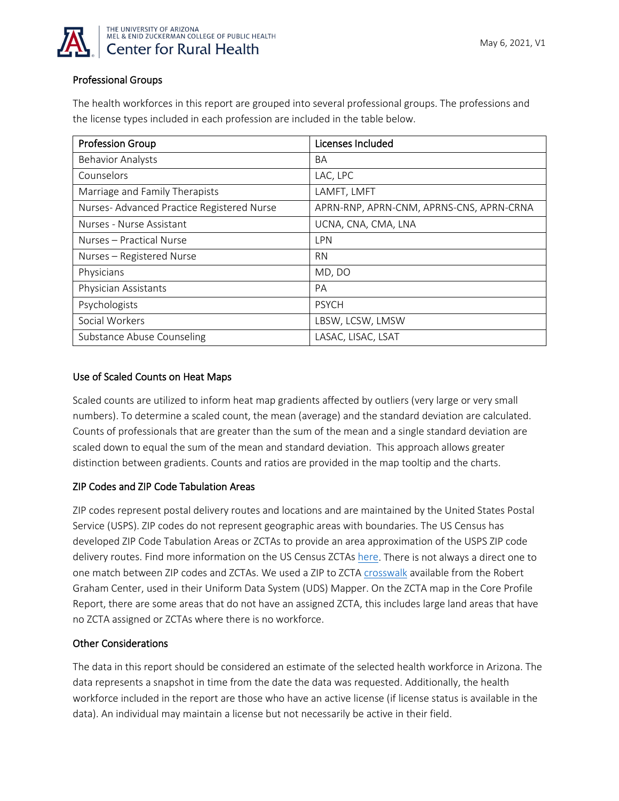

## Professional Groups

The health workforces in this report are grouped into several professional groups. The professions and the license types included in each profession are included in the table below.

| <b>Profession Group</b>                   | Licenses Included                        |
|-------------------------------------------|------------------------------------------|
| <b>Behavior Analysts</b>                  | BA                                       |
| Counselors                                | LAC, LPC                                 |
| Marriage and Family Therapists            | LAMFT, LMFT                              |
| Nurses-Advanced Practice Registered Nurse | APRN-RNP, APRN-CNM, APRNS-CNS, APRN-CRNA |
| Nurses - Nurse Assistant                  | UCNA, CNA, CMA, LNA                      |
| Nurses - Practical Nurse                  | LPN                                      |
| Nurses - Registered Nurse                 | <b>RN</b>                                |
| Physicians                                | MD, DO                                   |
| Physician Assistants                      | PA                                       |
| Psychologists                             | <b>PSYCH</b>                             |
| Social Workers                            | LBSW, LCSW, LMSW                         |
| Substance Abuse Counseling                | LASAC, LISAC, LSAT                       |

## Use of Scaled Counts on Heat Maps

Scaled counts are utilized to inform heat map gradients affected by outliers (very large or very small numbers). To determine a scaled count, the mean (average) and the standard deviation are calculated. Counts of professionals that are greater than the sum of the mean and a single standard deviation are scaled down to equal the sum of the mean and standard deviation. This approach allows greater distinction between gradients. Counts and ratios are provided in the map tooltip and the charts.

# ZIP Codes and ZIP Code Tabulation Areas

ZIP codes represent postal delivery routes and locations and are maintained by the United States Postal Service (USPS). ZIP codes do not represent geographic areas with boundaries. The US Census has developed ZIP Code Tabulation Areas or ZCTAs to provide an area approximation of the USPS ZIP code delivery routes. Find more information on the US Census ZCTAs [here.](https://www.census.gov/programs-surveys/geography/guidance/geo-areas/zctas.html) There is not always a direct one to one match between ZIP codes and ZCTAs. We used a ZIP to ZCTA [crosswalk](https://udsmapper.org/zip-code-to-zcta-crosswalk/) available from the Robert Graham Center, used in their Uniform Data System (UDS) Mapper. On the ZCTA map in the Core Profile Report, there are some areas that do not have an assigned ZCTA, this includes large land areas that have no ZCTA assigned or ZCTAs where there is no workforce.

#### Other Considerations

The data in this report should be considered an estimate of the selected health workforce in Arizona. The data represents a snapshot in time from the date the data was requested. Additionally, the health workforce included in the report are those who have an active license (if license status is available in the data). An individual may maintain a license but not necessarily be active in their field.